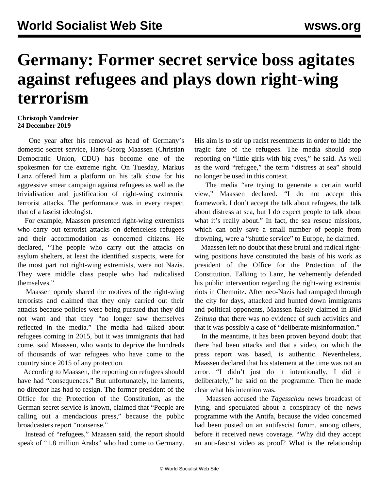## **Germany: Former secret service boss agitates against refugees and plays down right-wing terrorism**

## **Christoph Vandreier 24 December 2019**

 One year after his removal as head of Germany's domestic secret service, Hans-Georg Maassen (Christian Democratic Union, CDU) has become one of the spokesmen for the extreme right. On Tuesday, Markus Lanz offered him a platform on his talk show for his aggressive smear campaign against refugees as well as the trivialisation and justification of right-wing extremist terrorist attacks. The performance was in every respect that of a fascist ideologist.

 For example, Maassen presented right-wing extremists who carry out terrorist attacks on defenceless refugees and their accommodation as concerned citizens. He declared, "The people who carry out the attacks on asylum shelters, at least the identified suspects, were for the most part not right-wing extremists, were not Nazis. They were middle class people who had radicalised themselves."

 Maassen openly shared the motives of the right-wing terrorists and claimed that they only carried out their attacks because policies were being pursued that they did not want and that they "no longer saw themselves reflected in the media." The media had talked about refugees coming in 2015, but it was immigrants that had come, said Maassen, who wants to deprive the hundreds of thousands of war refugees who have come to the country since 2015 of any protection.

 According to Maassen, the reporting on refugees should have had "consequences." But unfortunately, he laments, no director has had to resign. The former president of the Office for the Protection of the Constitution, as the German secret service is known, claimed that "People are calling out a mendacious press," because the public broadcasters report "nonsense."

 Instead of "refugees," Maassen said, the report should speak of "1.8 million Arabs" who had come to Germany. His aim is to stir up racist resentments in order to hide the tragic fate of the refugees. The media should stop reporting on "little girls with big eyes," he said. As well as the word "refugee," the term "distress at sea" should no longer be used in this context.

 The media "are trying to generate a certain world view," Maassen declared. "I do not accept this framework. I don't accept the talk about refugees, the talk about distress at sea, but I do expect people to talk about what it's really about." In fact, the sea rescue missions, which can only save a small number of people from drowning, were a "shuttle service" to Europe, he claimed.

 Maassen left no doubt that these brutal and radical rightwing positions have constituted the basis of his work as president of the Office for the Protection of the Constitution. Talking to Lanz, he vehemently defended his public intervention regarding the right-wing extremist riots in Chemnitz. After neo-Nazis had rampaged through the city for days, attacked and hunted down immigrants and political opponents, Maassen falsely claimed in *Bild Zeitung* that there was no evidence of such activities and that it was possibly a case of "deliberate misinformation."

 In the meantime, it has been proven beyond doubt that there had been attacks and that a video, on which the press report was based, is authentic. Nevertheless, Maassen declared that his statement at the time was not an error. "I didn't just do it intentionally, I did it deliberately," he said on the programme. Then he made clear what his intention was.

 Maassen accused the *Tagesschau* news broadcast of lying, and speculated about a conspiracy of the news programme with the Antifa, because the video concerned had been posted on an antifascist forum, among others, before it received news coverage. "Why did they accept an anti-fascist video as proof? What is the relationship